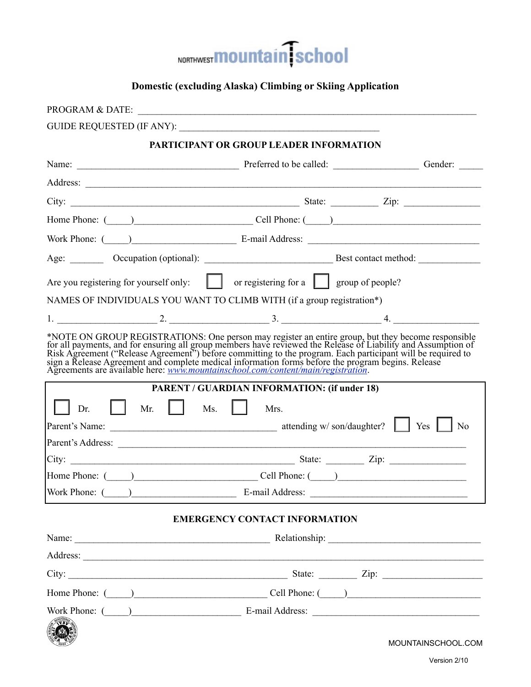

# **Domestic (excluding Alaska) Climbing or Skiing Application**

| <b>PROGRAM &amp; DATE:</b>      |                                                                                                                                                                                                                                      |                    |
|---------------------------------|--------------------------------------------------------------------------------------------------------------------------------------------------------------------------------------------------------------------------------------|--------------------|
|                                 | GUIDE REQUESTED (IF ANY):                                                                                                                                                                                                            |                    |
|                                 | PARTICIPANT OR GROUP LEADER INFORMATION                                                                                                                                                                                              |                    |
|                                 |                                                                                                                                                                                                                                      |                    |
|                                 |                                                                                                                                                                                                                                      |                    |
|                                 |                                                                                                                                                                                                                                      |                    |
|                                 | Home Phone: (Call Phone: Cell Phone: (Call Phone: Comparison of Phone: Comparison of Phone: Comparison of Phone: Comparison of Phone: Comparison of Phone: Comparison of Phone: Comparison of Phone: Comparison of Phone: Comp       |                    |
|                                 | Work Phone: (Chambridge Leonard Address: E-mail Address: Leonard Address: Leonard Address: Leonard Address: Leonard Address: Leonard Address: Leonard Address: Leonard Address: Leonard Address: Leonard Address: Leonard Addr       |                    |
|                                 |                                                                                                                                                                                                                                      |                    |
|                                 | Are you registering for yourself only: $\Box$ or registering for a $\Box$ group of people?                                                                                                                                           |                    |
|                                 | NAMES OF INDIVIDUALS YOU WANT TO CLIMB WITH (if a group registration*)                                                                                                                                                               |                    |
|                                 |                                                                                                                                                                                                                                      |                    |
|                                 | *NOTE ON GROUP REGISTRATIONS: One person may register an entire group, but they become responsible<br>for all payments, and for ensuring all group members have reviewed the Release of Liability and Assumption of<br>Risk Agreemen |                    |
|                                 | <b>PARENT / GUARDIAN INFORMATION: (if under 18)</b>                                                                                                                                                                                  |                    |
| $\Box$<br>Dr.<br>Mr.            | $\mathbf{M}\mathbf{s}$ .<br>Mrs.                                                                                                                                                                                                     |                    |
|                                 |                                                                                                                                                                                                                                      |                    |
|                                 | Parent's Address:                                                                                                                                                                                                                    |                    |
|                                 |                                                                                                                                                                                                                                      |                    |
|                                 | Home Phone: (Campbell Phone: Cell Phone: (Campbell Phone: Comparison of Phone: Comparison of Phone: C                                                                                                                                |                    |
| Work Phone: ( ) E-mail Address: |                                                                                                                                                                                                                                      |                    |
|                                 | <b>EMERGENCY CONTACT INFORMATION</b>                                                                                                                                                                                                 |                    |
|                                 |                                                                                                                                                                                                                                      |                    |
|                                 |                                                                                                                                                                                                                                      |                    |
|                                 | City: $\frac{1}{\sqrt{2}}$ State: $\frac{1}{\sqrt{2}}$ Zip: $\frac{1}{\sqrt{2}}$ Zip:                                                                                                                                                |                    |
|                                 |                                                                                                                                                                                                                                      |                    |
|                                 | Work Phone: (Champion and Communication of E-mail Address: Champion and Phone: Champion and E-mail Address: Champion and Phone: Champion and Phone: Champion and Phone: Champion and Phone: Champion and Phone: Champion and P       |                    |
|                                 |                                                                                                                                                                                                                                      | MOUNTAINSCHOOL.COM |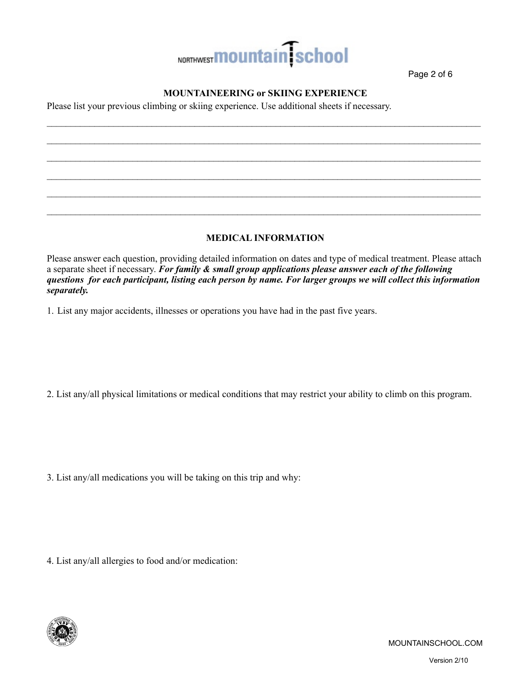

Page 2 of 6

## **MOUNTAINEERING or SKIING EXPERIENCE**

 $\mathcal{L}_\mathcal{L} = \mathcal{L}_\mathcal{L} = \mathcal{L}_\mathcal{L} = \mathcal{L}_\mathcal{L} = \mathcal{L}_\mathcal{L} = \mathcal{L}_\mathcal{L} = \mathcal{L}_\mathcal{L} = \mathcal{L}_\mathcal{L} = \mathcal{L}_\mathcal{L} = \mathcal{L}_\mathcal{L} = \mathcal{L}_\mathcal{L} = \mathcal{L}_\mathcal{L} = \mathcal{L}_\mathcal{L} = \mathcal{L}_\mathcal{L} = \mathcal{L}_\mathcal{L} = \mathcal{L}_\mathcal{L} = \mathcal{L}_\mathcal{L}$  $\_$  $\mathcal{L}_\mathcal{L} = \mathcal{L}_\mathcal{L} = \mathcal{L}_\mathcal{L} = \mathcal{L}_\mathcal{L} = \mathcal{L}_\mathcal{L} = \mathcal{L}_\mathcal{L} = \mathcal{L}_\mathcal{L} = \mathcal{L}_\mathcal{L} = \mathcal{L}_\mathcal{L} = \mathcal{L}_\mathcal{L} = \mathcal{L}_\mathcal{L} = \mathcal{L}_\mathcal{L} = \mathcal{L}_\mathcal{L} = \mathcal{L}_\mathcal{L} = \mathcal{L}_\mathcal{L} = \mathcal{L}_\mathcal{L} = \mathcal{L}_\mathcal{L}$ 

 $\mathcal{L}_\mathcal{L} = \mathcal{L}_\mathcal{L} = \mathcal{L}_\mathcal{L} = \mathcal{L}_\mathcal{L} = \mathcal{L}_\mathcal{L} = \mathcal{L}_\mathcal{L} = \mathcal{L}_\mathcal{L} = \mathcal{L}_\mathcal{L} = \mathcal{L}_\mathcal{L} = \mathcal{L}_\mathcal{L} = \mathcal{L}_\mathcal{L} = \mathcal{L}_\mathcal{L} = \mathcal{L}_\mathcal{L} = \mathcal{L}_\mathcal{L} = \mathcal{L}_\mathcal{L} = \mathcal{L}_\mathcal{L} = \mathcal{L}_\mathcal{L}$  $\mathcal{L}_\mathcal{L} = \mathcal{L}_\mathcal{L} = \mathcal{L}_\mathcal{L} = \mathcal{L}_\mathcal{L} = \mathcal{L}_\mathcal{L} = \mathcal{L}_\mathcal{L} = \mathcal{L}_\mathcal{L} = \mathcal{L}_\mathcal{L} = \mathcal{L}_\mathcal{L} = \mathcal{L}_\mathcal{L} = \mathcal{L}_\mathcal{L} = \mathcal{L}_\mathcal{L} = \mathcal{L}_\mathcal{L} = \mathcal{L}_\mathcal{L} = \mathcal{L}_\mathcal{L} = \mathcal{L}_\mathcal{L} = \mathcal{L}_\mathcal{L}$ 

Please list your previous climbing or skiing experience. Use additional sheets if necessary.

### **MEDICAL INFORMATION**

 $\mathcal{L}_\mathcal{L} = \mathcal{L}_\mathcal{L} = \mathcal{L}_\mathcal{L} = \mathcal{L}_\mathcal{L} = \mathcal{L}_\mathcal{L} = \mathcal{L}_\mathcal{L} = \mathcal{L}_\mathcal{L} = \mathcal{L}_\mathcal{L} = \mathcal{L}_\mathcal{L} = \mathcal{L}_\mathcal{L} = \mathcal{L}_\mathcal{L} = \mathcal{L}_\mathcal{L} = \mathcal{L}_\mathcal{L} = \mathcal{L}_\mathcal{L} = \mathcal{L}_\mathcal{L} = \mathcal{L}_\mathcal{L} = \mathcal{L}_\mathcal{L}$ 

Please answer each question, providing detailed information on dates and type of medical treatment. Please attach a separate sheet if necessary. *For family & small group applications please answer each of the following questions for each participant, listing each person by name. For larger groups we will collect this information separately.* 

1. List any major accidents, illnesses or operations you have had in the past five years.

2. List any/all physical limitations or medical conditions that may restrict your ability to climb on this program.

3. List any/all medications you will be taking on this trip and why:

4. List any/all allergies to food and/or medication:

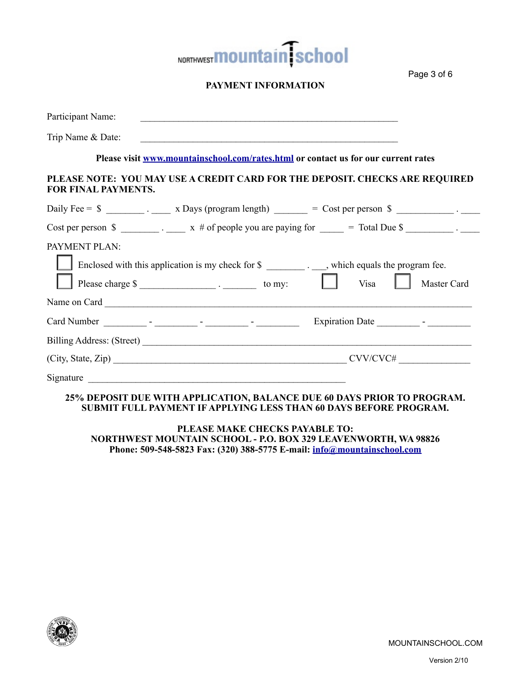

## **PAYMENT INFORMATION**

| Participant Name:          |                                                           |                                                                                                                                                                                                                                                                                                                   |
|----------------------------|-----------------------------------------------------------|-------------------------------------------------------------------------------------------------------------------------------------------------------------------------------------------------------------------------------------------------------------------------------------------------------------------|
| Trip Name & Date:          | <u> 1980 - John Stone, amerikansk politiker (d. 1980)</u> |                                                                                                                                                                                                                                                                                                                   |
|                            |                                                           | Please visit www.mountainschool.com/rates.html or contact us for our current rates                                                                                                                                                                                                                                |
| <b>FOR FINAL PAYMENTS.</b> |                                                           | PLEASE NOTE: YOU MAY USE A CREDIT CARD FOR THE DEPOSIT. CHECKS ARE REQUIRED                                                                                                                                                                                                                                       |
|                            |                                                           | Daily Fee = $\frac{1}{2}$ $\frac{1}{2}$ $\frac{1}{2}$ $\frac{1}{2}$ $\frac{1}{2}$ $\frac{1}{2}$ $\frac{1}{2}$ $\frac{1}{2}$ $\frac{1}{2}$ $\frac{1}{2}$ $\frac{1}{2}$ $\frac{1}{2}$ $\frac{1}{2}$ $\frac{1}{2}$ $\frac{1}{2}$ $\frac{1}{2}$ $\frac{1}{2}$ $\frac{1}{2}$ $\frac{1}{2}$ $\frac{1}{2}$ $\frac{1}{2}$ |
|                            |                                                           | Cost per person $\sin \theta$ $\frac{1}{\cos \theta}$ . $\frac{1}{\cos \theta}$ x # of people you are paying for $\frac{1}{\cos \theta}$ = Total Due $\sin \theta$                                                                                                                                                |
| PAYMENT PLAN:              |                                                           | Enclosed with this application is my check for \$ __________. which equals the program fee.<br>Visa<br>Master Card                                                                                                                                                                                                |
|                            |                                                           |                                                                                                                                                                                                                                                                                                                   |
|                            |                                                           |                                                                                                                                                                                                                                                                                                                   |
|                            |                                                           |                                                                                                                                                                                                                                                                                                                   |
|                            |                                                           | $\frac{1}{2}$ CVV/CVC#                                                                                                                                                                                                                                                                                            |
|                            |                                                           | 25% DEPOSIT DUE WITH APPLICATION, BALANCE DUE 60 DAYS PRIOR TO PROGRAM.                                                                                                                                                                                                                                           |

## **SUBMIT FULL PAYMENT IF APPLYING LESS THAN 60 DAYS BEFORE PROGRAM.**

**PLEASE MAKE CHECKS PAYABLE TO: NORTHWEST MOUNTAIN SCHOOL - P.O. BOX 329 LEAVENWORTH, WA 98826 Phone: 509-548-5823 Fax: (320) 388-5775 E-mail: info@mountainschool.com**



Page 3 of 6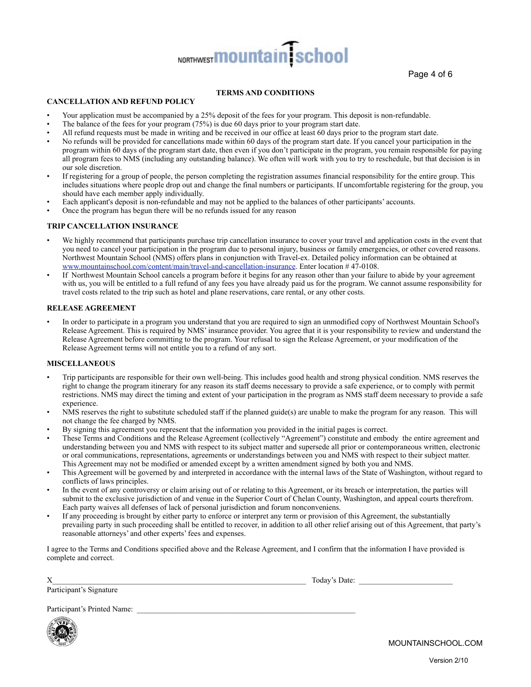# NORTHWEST **MOUNTAIN** School

Page 4 of 6

#### **TERMS AND CONDITIONS**

#### **CANCELLATION AND REFUND POLICY**

- Your application must be accompanied by a 25% deposit of the fees for your program. This deposit is non-refundable.
- The balance of the fees for your program (75%) is due 60 days prior to your program start date.
- All refund requests must be made in writing and be received in our office at least 60 days prior to the program start date.
- No refunds will be provided for cancellations made within 60 days of the program start date. If you cancel your participation in the program within 60 days of the program start date, then even if you don't participate in the program, you remain responsible for paying all program fees to NMS (including any outstanding balance). We often will work with you to try to reschedule, but that decision is in our sole discretion.
- If registering for a group of people, the person completing the registration assumes financial responsibility for the entire group. This includes situations where people drop out and change the final numbers or participants. If uncomfortable registering for the group, you should have each member apply individually.
- Each applicant's deposit is non-refundable and may not be applied to the balances of other participants' accounts.
- Once the program has begun there will be no refunds issued for any reason

#### **TRIP CANCELLATION INSURANCE**

- We highly recommend that participants purchase trip cancellation insurance to cover your travel and application costs in the event that you need to cancel your participation in the program due to personal injury, business or family emergencies, or other covered reasons. Northwest Mountain School (NMS) offers plans in conjunction with Travel-ex. Detailed policy information can be obtained at www.mountainschool.com/content/main/travel-and-cancellation-insurance. Enter location # 47-0108.
- If Northwest Mountain School cancels a program before it begins for any reason other than your failure to abide by your agreement with us, you will be entitled to a full refund of any fees you have already paid us for the program. We cannot assume responsibility for travel costs related to the trip such as hotel and plane reservations, care rental, or any other costs.

#### **RELEASE AGREEMENT**

• In order to participate in a program you understand that you are required to sign an unmodified copy of Northwest Mountain School's Release Agreement. This is required by NMS' insurance provider. You agree that it is your responsibility to review and understand the Release Agreement before committing to the program. Your refusal to sign the Release Agreement, or your modification of the Release Agreement terms will not entitle you to a refund of any sort.

#### **MISCELLANEOUS**

- Trip participants are responsible for their own well-being. This includes good health and strong physical condition. NMS reserves the right to change the program itinerary for any reason its staff deems necessary to provide a safe experience, or to comply with permit restrictions. NMS may direct the timing and extent of your participation in the program as NMS staff deem necessary to provide a safe experience.
- NMS reserves the right to substitute scheduled staff if the planned guide(s) are unable to make the program for any reason. This will not change the fee charged by NMS.
- By signing this agreement you represent that the information you provided in the initial pages is correct.
- These Terms and Conditions and the Release Agreement (collectively "Agreement") constitute and embody the entire agreement and understanding between you and NMS with respect to its subject matter and supersede all prior or contemporaneous written, electronic or oral communications, representations, agreements or understandings between you and NMS with respect to their subject matter. This Agreement may not be modified or amended except by a written amendment signed by both you and NMS.
- This Agreement will be governed by and interpreted in accordance with the internal laws of the State of Washington, without regard to conflicts of laws principles.
- In the event of any controversy or claim arising out of or relating to this Agreement, or its breach or interpretation, the parties will submit to the exclusive jurisdiction of and venue in the Superior Court of Chelan County, Washington, and appeal courts therefrom. Each party waives all defenses of lack of personal jurisdiction and forum nonconveniens.
- If any proceeding is brought by either party to enforce or interpret any term or provision of this Agreement, the substantially prevailing party in such proceeding shall be entitled to recover, in addition to all other relief arising out of this Agreement, that party's reasonable attorneys' and other experts' fees and expenses.

I agree to the Terms and Conditions specified above and the Release Agreement, and I confirm that the information I have provided is complete and correct.

Participant's Signature

 $X$  Today's Date:

Participant's Printed Name:



MOUNTAINSCHOOL.COM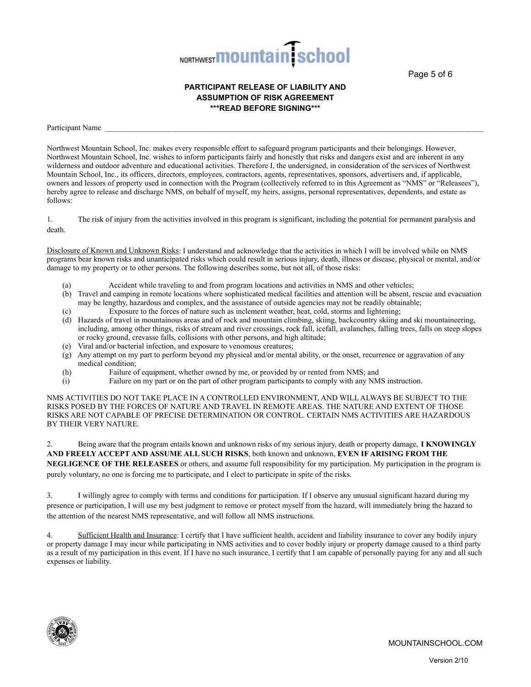

Page 5 of 6

#### **PARTICIPANT RELEASE OF LIABILITY AND ASSUMPTION OF RISK AGREEMENT \*\*\*READ BEFORE SIGNING\*\*\***

Participant Name

Northwest Mountain School, Inc. makes every responsible effort to safeguard program participants and their belongings. However, Northwest Mountain School, Inc. wishes to inform participants fairly and honestly that risks and dangers exist and are inherent in any wilderness and outdoor adventure and educational activities. Therefore I, the undersigned, in consideration of the services of Northwest Mountain School, Inc., its officers, directors, employees, contractors, agents, representatives, sponsors, advertisers and, if applicable, owners and lessors of property used in connection with the Program (collectively referred to in this Agreement as "NMS" or "Releasees"), hereby agree to release and discharge NMS, on behalf of myself, my heirs, assigns, personal representatives, dependents, and estate as follows:

1. The risk of injury from the activities involved in this program is significant, including the potential for permanent paralysis and death.

Disclosure of Known and Unknown Risks: I understand and acknowledge that the activities in which I will be involved while on NMS programs bear known risks and unanticipated risks which could result in serious injury, death, illness or disease, physical or mental, and/or damage to my property or to other persons. The following describes some, but not all, of those risks:

- Accident while traveling to and from program locations and activities in NMS and other vehicles;
- (b) Travel and camping in remote locations where sophisticated medical facilities and attention will be absent, rescue and evacuation may be lengthy, hazardous and complex, and the assistance of outside agencies may not be readily obtainable;
- (c) Exposure to the forces of nature such as inclement weather, heat, cold, storms and lightening;
- (d) Hazards of travel in mountainous areas and of rock and mountain climbing, skiing, backcountry skiing and ski mountaineering, including, among other things, risks of stream and river crossings, rock fall, icefall, avalanches, falling trees, falls on steep slopes or rocky ground, crevasse falls, collisions with other persons, and high altitude;
- (e) Viral and/or bacterial infection, and exposure to venomous creatures;
- (g) Any attempt on my part to perform beyond my physical and/or mental ability, or the onset, recurrence or aggravation of any medical condition;
- (h) Failure of equipment, whether owned by me, or provided by or rented from NMS; and (i) Failure on my part or on the part of other program participants to comply with any NM
- Failure on my part or on the part of other program participants to comply with any NMS instruction.

NMS ACTIVITIES DO NOT TAKE PLACE IN A CONTROLLED ENVIRONMENT, AND WILL ALWAYS BE SUBJECT TO THE RISKS POSED BY THE FORCES OF NATURE AND TRAVEL IN REMOTE AREAS. THE NATURE AND EXTENT OF THOSE RISKS ARE NOT CAPABLE OF PRECISE DETERMINATION OR CONTROL. CERTAIN NMS ACTIVITIES ARE HAZARDOUS BY THEIR VERY NATURE.

2. Being aware that the program entails known and unknown risks of my serious injury, death or property damage, **I KNOWINGLY AND FREELY ACCEPT AND ASSUME ALL SUCH RISKS**, both known and unknown, **EVEN IF ARISING FROM THE NEGLIGENCE OF THE RELEASEES** or others, and assume full responsibility for my participation. My participation in the program is purely voluntary, no one is forcing me to participate, and I elect to participate in spite of the risks.

3. I willingly agree to comply with terms and conditions for participation. If I observe any unusual significant hazard during my presence or participation, I will use my best judgment to remove or protect myself from the hazard, will immediately bring the hazard to the attention of the nearest NMS representative, and will follow all NMS instructions.

4. Sufficient Health and Insurance: I certify that I have sufficient health, accident and liability insurance to cover any bodily injury or property damage I may incur while participating in NMS activities and to cover bodily injury or property damage caused to a third party as a result of my participation in this event. If I have no such insurance, I certify that I am capable of personally paying for any and all such expenses or liability.